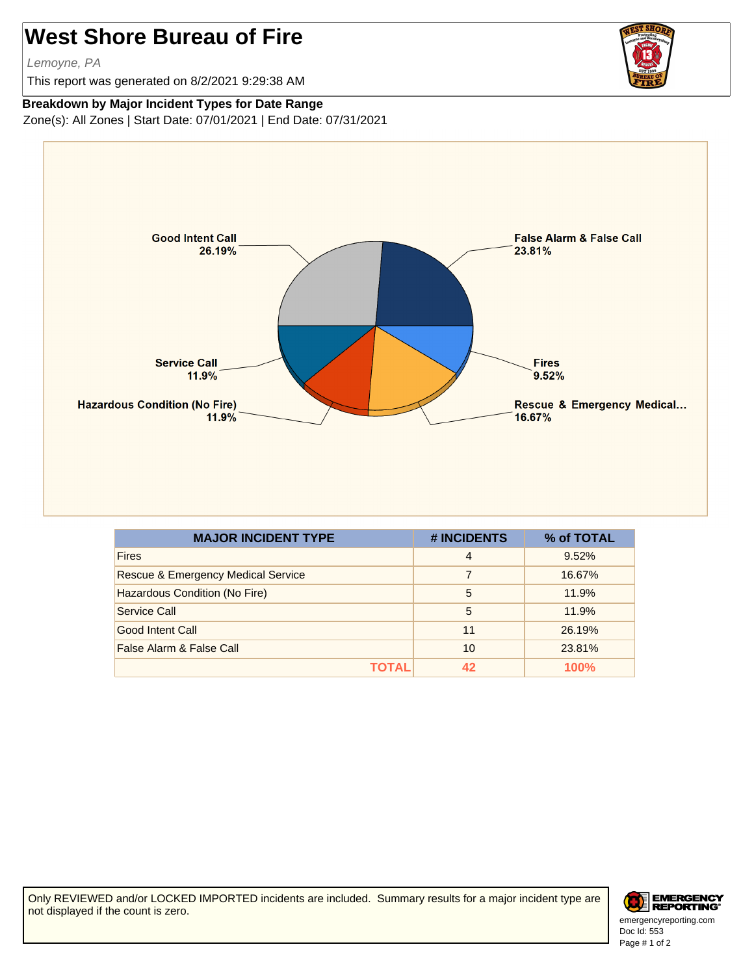## **West Shore Bureau of Fire**

Lemoyne, PA

This report was generated on 8/2/2021 9:29:38 AM



## **Breakdown by Major Incident Types for Date Range**

Zone(s): All Zones | Start Date: 07/01/2021 | End Date: 07/31/2021



| <b>MAJOR INCIDENT TYPE</b>                    | # INCIDENTS | % of TOTAL |
|-----------------------------------------------|-------------|------------|
| <b>Fires</b>                                  | 4           | 9.52%      |
| <b>Rescue &amp; Emergency Medical Service</b> |             | 16.67%     |
| Hazardous Condition (No Fire)                 | 5           | 11.9%      |
| Service Call                                  | 5           | 11.9%      |
| Good Intent Call                              | 11          | 26.19%     |
| False Alarm & False Call                      | 10          | 23.81%     |
| ΤΩΤΑΙ                                         | 42          | 100%       |

Only REVIEWED and/or LOCKED IMPORTED incidents are included. Summary results for a major incident type are not displayed if the count is zero.



Doc Id: 553 emergencyreporting.com Page # 1 of 2